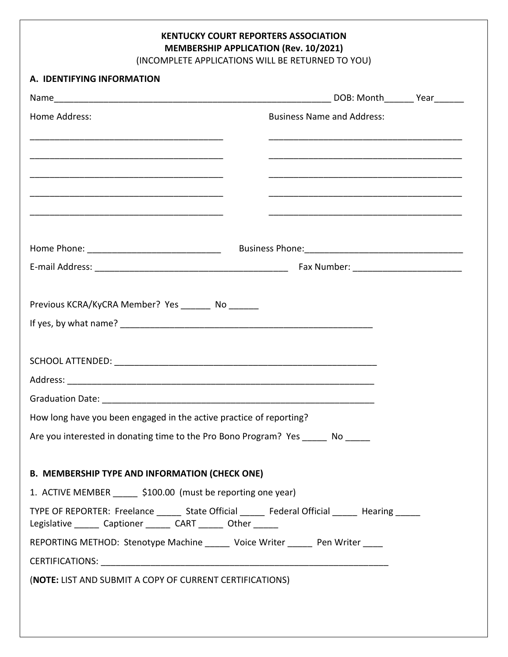**KENTUCKY COURT REPORTERS ASSOCIATION MEMBERSHIP APPLICATION (Rev. 10/2021)**

(INCOMPLETE APPLICATIONS WILL BE RETURNED TO YOU)

| A. IDENTIFYING INFORMATION                                                      |                                                                                                   |  |
|---------------------------------------------------------------------------------|---------------------------------------------------------------------------------------------------|--|
|                                                                                 |                                                                                                   |  |
| Home Address:                                                                   | <b>Business Name and Address:</b>                                                                 |  |
|                                                                                 |                                                                                                   |  |
|                                                                                 |                                                                                                   |  |
| <u> 1989 - Johann John Harry, mars and deutscher Schwarzer († 1989)</u>         |                                                                                                   |  |
|                                                                                 |                                                                                                   |  |
|                                                                                 |                                                                                                   |  |
|                                                                                 |                                                                                                   |  |
| Previous KCRA/KyCRA Member? Yes ________ No _______                             |                                                                                                   |  |
|                                                                                 |                                                                                                   |  |
|                                                                                 |                                                                                                   |  |
|                                                                                 |                                                                                                   |  |
|                                                                                 |                                                                                                   |  |
|                                                                                 |                                                                                                   |  |
| How long have you been engaged in the active practice of reporting?             |                                                                                                   |  |
| Are you interested in donating time to the Pro Bono Program? Yes                | No                                                                                                |  |
|                                                                                 |                                                                                                   |  |
| <b>B. MEMBERSHIP TYPE AND INFORMATION (CHECK ONE)</b>                           |                                                                                                   |  |
| 1. ACTIVE MEMBER \$100.00 (must be reporting one year)                          |                                                                                                   |  |
| Legislative _______ Captioner _______ CART ______ Other ______                  | TYPE OF REPORTER: Freelance _______ State Official _______ Federal Official ______ Hearing ______ |  |
| REPORTING METHOD: Stenotype Machine ______ Voice Writer ______ Pen Writer _____ |                                                                                                   |  |
|                                                                                 |                                                                                                   |  |
|                                                                                 |                                                                                                   |  |